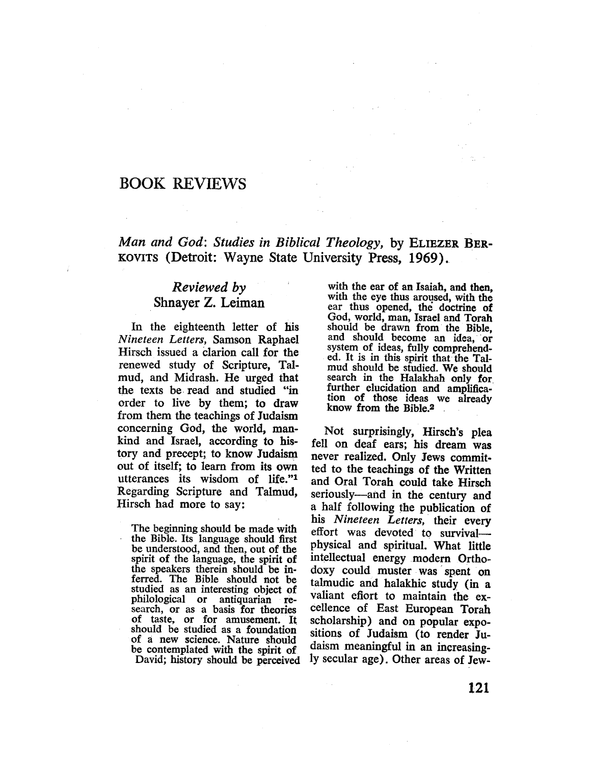# BOOK REVIEWS

# Man and God: Studies in Biblical Theology, by ELIEZER BER-KOVITS (Detroit: Wayne State University Press, 1969).

# Reviewed by Shnayer Z. Leiman

In the eighteenth letter of his Nineteen Letters, Samson Raphael Hirsch issued a clarion call for the renewed study of Scripture, Talmud, and Midrash. He urged that the texts be read and studied "in order to live by them; to draw from them the teachings of Judaism concerning God, the world, mankind and Israel, according to history and precept; to know Judaism out of itself; to learn from its own utterances its wisdom of life."1 Regarding Scripture and Talmud, Hirsch had more to say:

The beginning should be made with the Bible. Its language should fist be understood, and then, out of the spirit of the language, the spirit of the speakers therein should be inferred. The Bible should not be studied as an interesting object of philological or antiquarian research, or as a basis for theories of taste, or for amusement. It should be studied as a foundation of a new science. Nature should be contemplated with the spirit of David; history should be perceived

with the ear of an Isaiah, and then, with the eye thus aroused, with the ear thus opened, the doctrine of God, world, man, Israel and Torah should be drawn from the Bible, and should become an idea, or system of ideas, fully comprehended. It is in this spirit that the Talmud should be studied. We should search in the Halakhah only for further elucidation and amplification of those ideas we already know from the Bible.2

Not surprisingly, Hirsch's plea fell on deaf ears; his dream was never realized. Only Jews commit. ted to the teachings of the Written and Oral Torah could take Hirsch seriously-and in the century and a half following the publication of his Nineteen Letters, their every effort was devoted to survival physical and spirituaL. What little intellectual energy modern Orthodoxy could muster was spent on talmudic and halakhic study (in a valiant efiort to maintain the excellence of East European Torah scholarship) and on popular expositons of Judaism (to render Judaism meaningful in an increasingly secular age). Other areas of Jew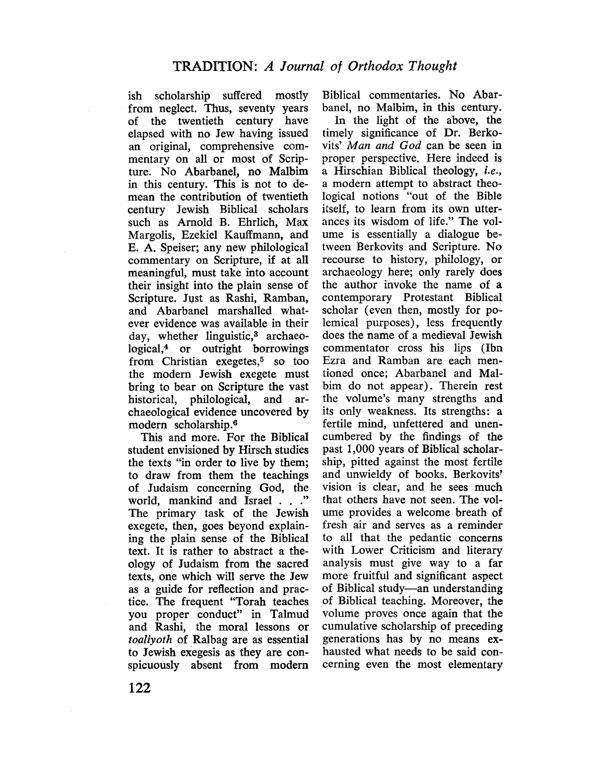ish scholarship suffered mostly from neglect. Thus, seventy years of the twentieth century have elapsed with no Jew having issued an original, comprehensive commentary on all or most of Scripture. No Abarbanel, no Malbim in this century. This is not to demean the contribution of twentieth century Jewish Biblical scholars such as Arnold B. Ehrlich, Max Margolis, Ezekiel Kauffmann, and E. A. Speiser; any new philological commentary on Scripture, if at all meaningful, must take into account their insight into the plain sense of Scripture. Just as Rashi, Ramban, and Abarbanel marshalled whatever evidence was available in their day, whether linguistic,3 archaeological,4 or outright borrowings from Christian exegetes,5 so too the modern Jewish exegete must bring to bear on Scripture the vast historical, philological, and archaeological evidence uncovered by modern scholarship.6

This and more. For the Biblical student envisioned by Hirsch studies the texts "in order to live by them; to draw from them the teachings of Judaism concerning God, the world, mankind and Israel . . ." The primary task of the Jewish exegete, then, goes beyond explaining the plain sense of the Biblical text. It is rather to abstract a theology of Judaism from the sacred texts, one which will serve the Jew as a guide for reflection and practice. The frequent "Torah teaches you proper conduct" in Talmud and Rashi, the moral lessons or toaliyoth of Ralbag are as essential to Jewish exegesis as they are conspicuously absent from modern

Biblical commentaries. No AbarbancI, no Malbim, in this century.

In the light of the above, the timely significance of Dr. Berkovits' Man and God can be seen in proper perspective. Here indeed is a Hirschian Biblical theology, i.e., a modern attempt to abstract theological notions "out of thc Bible itself, to learn from its own utterances its wisdom of life." The volume is essentially a dialogue between Berkovits and Scripture. No recourse to history, philology, or archaeology here; only rarely does the author invoke the name of a contemporary Protestant Biblical scholar (even then, mostly for polemical purposes), less frequcntly does the name of a medieval Jewish commentator cross his lips (Ibn Ezra and Ramban are each mentioned once; Abarbanel and Malbim do not appear). Therein rest the volume's many strengths and its only weakness. Its strengths: a fertile mind, unfettered and unencumbered by thc findings of the past 1,000 years of Biblical scholarship, pitted against the most fertile and unwieldy of books. Berkovits' vision is clear, and he sees much that others have not seen. The volume provides a welcome breath of fresh air and serves as a reminder to all that the pedantic concerns with Lower Criticism and literary analysis must give way to a far more fruitful and significant aspect of Biblical study-an understanding of Biblical teaching. Moreover, the volume proves once again that the cumulative scholarship of preceding generations has by no means exhausted what needs to be said concerning even the most elementary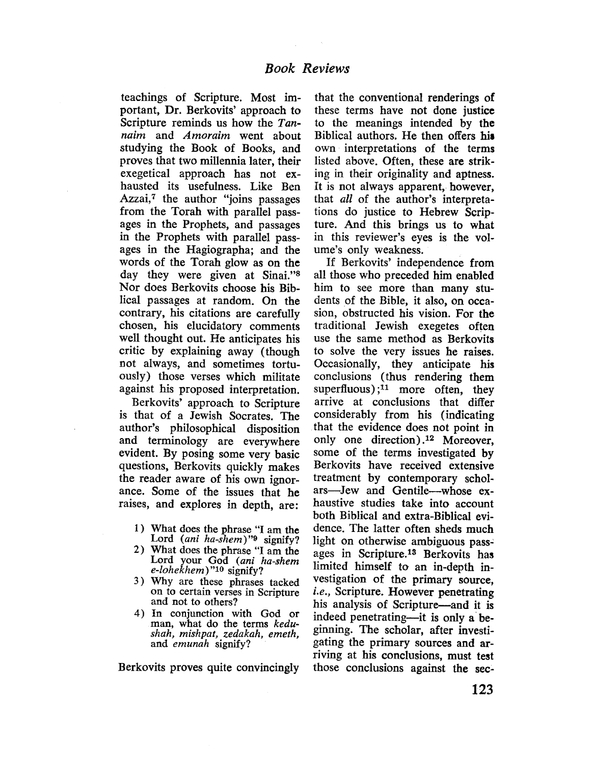teachings of Scripture. Most important, Dr. Berkovits' approach to Scripture reminds us how the Tannaim and Amoraim went about studying the Book of Books, and proves that two milennia later, their exegetical approach has not exhausted its usefulness. Like Ben Azzai, $<sup>7</sup>$  the author "joins passages</sup> from the Torah with parallel passages in the Prophets, and passages in the Prophets with parallel passages in the Hagiographa; and the words of the Torah glow as on the day they were given at Sinai."<sup>8</sup> Nor does Berkovits choose his Biblical passages at random. On the contrary, his citations are carefully chosen, his elucidatory comments well thought out. He anticipates his critic by explaining away (though not always, and sometimes tortuously) those verses which militate against his proposed interpretation.

Berkovits' approach to Scripture is that of a Jewish Socrates. The author's philosophical disposition and terminology are everywhere evident. By posing some very basic questions, Berkovits quickly makes the reader aware of his own ignorance. Some of the issues that he raises, and explores in depth, are:

- 1) What does the phrase "I am the Lord (ani ha-shem)" $9$  signify?
- 2) What does the phrase "I am the Lord your God (ani ha-shem e-lohekhem) "10 signify?
- 3) Why are these phrases tacked on to certain verses in Scripture and not to others?
- 4) In conjunction with God or man, what do the terms kedushah, mishpat, zedakah, emeth, and emunah signify?

Berkovits proves quite convincingly

that the conventional renderings of these terms have not done justice to the meanings intended by the Biblical authors. He then offers his own interpretations of the terms listed above. Often, these are striking in their originality and aptness. It is not always apparent, however, that all of the author's interpretations do justice to Hebrew Scripture. And this brings us to what in this reviewer's eyes is the volume's only weakness.

If Berkovits' indcpendence from all those who preceded him enabled him to see more than many students of the Bible, it also, on occasion, obstructed his vision. For the traditional Jewish exegetes often use the same method as Berkovits to solve the very issues he raises. Occasionally, they anticipate his conclusions (thus rendering them superfluous); $11$  more often, they arrive at conclusions that differ considerably from his (indicating that the evidence does not point in only one direction) .12 Moreover, some of the terms investigated by Berkovits have received extensive treatment by contemporary scholars-Jew and Gentile-whose exhaustive studies take into account both Biblical and extra-Biblical evidence. The latter often sheds much light on otherwise ambiguous passages in Scripture.13 Berkovits has limited himself to an in-depth investigation of the primary source, i.e., Scripture. However penetrating his analysis of Scripture-and it is indeed penetrating-it is only a beginning. The scholar, after investigating the primary sources and arriving at his conclusions, must test those conclusions against the sec-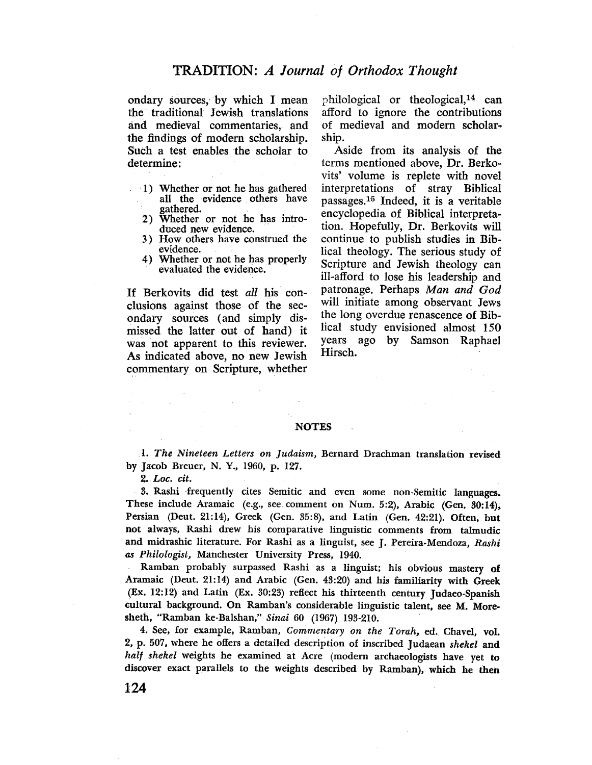## TRADITION: A Journal of Orthodox Thought

ondary sources, by which I mean the. traditional Jewish translations ànd medieval commentaries, and the findings of modern scholarship. Such a test enables the scholar to determine:

- 1) Whether or not he has gathered all the evidence others have gathered.
- 2) Whether or not he has introduced new evidence.
- 3) How others have construed the evidence.
- 4) Whether or not he has properly evaluated the evidence.

If Berkovits did test all his conclusions against those of the secondary sources (and simply dismissed the latter out of hand) it was not apparent to this reviewer. As indicated above, no new Jewish commentary on Scripture, whether

philological or theological,14 can afford to ignore the contributions of medieval and modern scholarship.

Aside from its analysis of the terms mentioned above, Dr. Berkovits' volume is replete with novel interpretations of stray Biblical passages,15 Indeed, it is a veritable encyclopedia of Biblical interpretation. Hopefully, Dr. Berkovits will continue to publish studies in Biblical theology. The serious study of Scripture and Jewish theology can il-afford to lose his leadership and patronage. Perhaps Man and God will initiate among observant Jews the long overdue renascence of Biblical study envisioned almost 150 years ago by Samson Raphael Hirsch.

#### **NOTES**

l. The Nineteen Letters on Judaism, Bernard Drachman translation revised by jacob Breuer, N. Y., 1960, p. 127.

2. Loc. cit.

 $\mathcal{O}(\mathcal{E}_{\mathrm{max}})$  , where  $\mathcal{E}_{\mathrm{max}}$ 

3. Rashi frequently cites Semitic and even some non-Semitic languages. These include Aramaic (e.g., see comment on Num. 5:2), Arabic (Gen. 30:14), Persian (Deut. 21:14), Greek (Gen. 35:8), and Latin (Gen. 42:21). Often, but not always, Rashi drew his comparative linguistic comments from talmudic and midrashic literature. For Rashi as a linguist, see J. Pereira-Mendoza, Rashi as Philologist, Manchester University Press, 1940.

Ramban probably surpassed Rashi as a linguist; his obvious mastery of Aramaic (Deut. 21:14) and Arabic (Gen. 43:20) and his familarity with Greek (Ex. 12: 12) and Latin (Ex. 30:23) reflect his thirteenth century judaeo-Spanish cultural background. On Ramban's considerable linguistic talent, see M. Moresheth, "Ramban ke-Balshan," Sinai 60 (1967) 193-210.

4. See, for example, Ramban, Commentary on the Torah, ed. Chavel, vol. 2, p. 507, where he offers a detailed description of inscribed judaean shekel and half shekel weights he examined at Acre (modern archaeologists have yet to discover exact parallels to the weights described by Ramban), which he then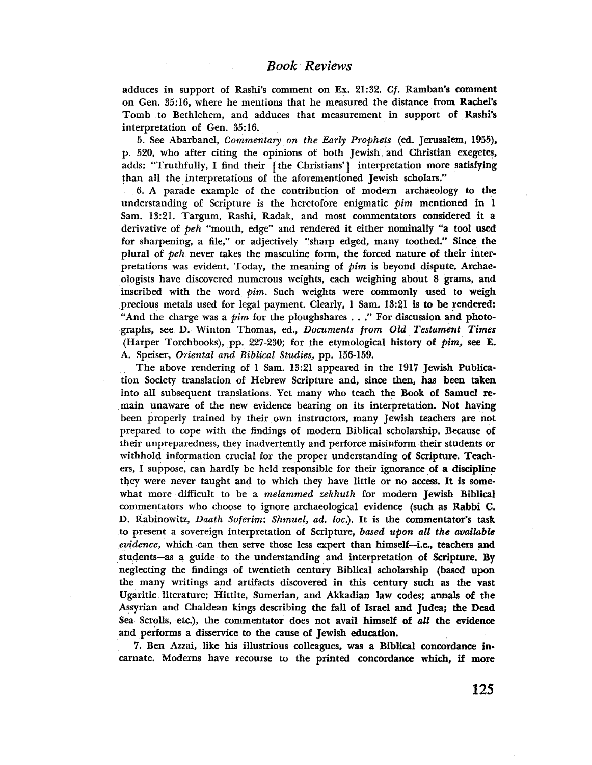adduces in support of Rashi's comment on Ex. 21:32. Cf. Ramban's comment on Gen. 35:16, where he mentions that he measured the distance from Rachel's Tomb to Bethlehem, and adduces that measurement in support of Rashl's interpretation of Gen. 35:16.

5. See Abarbanel, Commentary on the Early Prophets (ed. Jerusalem, 1955), p. 520, who after citing the opinions of both Jewish and Christian exegetes, adds: "Truthfully, I find their [the Christians'] interpretation more satisfying than all the interpretations of the aforementioned Jewish scholars."

6. A parade example of the contribution of modern archaeology to the understanding of Scripture is the heretofore enigmatic  $\phi$ *im* mentioned in 1 Sam. 13:21. Targum, Rashi, Radak, and most commentators considered it a derivative of peh "mouth, edge" and rendered it either nominally "a tool used for sharpening, a file," or adjeetively "sharp edged, many toothed." Since the plural of peh never takes the masculine form, the forced nature of their interpretations was evident. Today, the meaning of  $\phi$ im is beyond dispute. Archaeologists have discovered numerous weights, each weighing about 8 grams, and inscribed with the word  $\phi$ im. Such weights were commonly used to weigh precious metals used for legal payment. Clearly, 1 Sam. 13:21 is to be rendered: "And the charge was a *pim* for the ploughshares  $\ldots$ ." For discussion and photographs, see D. Winton Thomas, cd., Documents from Old Testament Times (Harper Torchbooks), pp. 227-230; for the etymological history of  $\hat{p}$ im, see E. A. Speiser, Oriental and Biblical Studies, pp. 156-159.

The above rendering of 1 Sam. 13:21 appeared in the 1917 Jewish Publication Society translation of Hebrew Scripture and, since then, has been taken into all subsequent translations. Yet many who teach the Book of Samuel remain unaware of the new evidence bearing on its interpretation. Not having been properly trained by their own instructors, many Jewish teachers are not prepared to cope with the findings of modern Biblical scholarship. Because of their unpreparedness, they inadvertently and perforce misinform their students or withhold information crucial for the proper understanding of Scripture. Teachers, I suppose, can hardly be held responsible for their ignorance of a discipline they were never taught and to which they have little or no access. It is somewhat more difficult to be a *melammed zekhuth* for modern Jewish Biblical commentators who choose to ignore archaeological evidence (such as Rabbi C. D. Rabinowitz, Daath Soferim: Shmuel, ad. loc.). It is the commentator's task to present a sovereign interpretation of Scripture, based upon all the available evidence, which can then serve those less expert than himself-i.e., teachers and students-as a guide to the understanding and interpretation of Scripture. By neglecting the findings of twentieth century Biblical scholarship (based upon the many writings and artifacts discovered in this century such as the vast Ugaritic literature; Hittite, Sumerian, and Akkadian law codes; annals of the Assyrian and Chaldean kings describing the fall of Israel and Judea: the Dead Sea Scrolls. etc.), the commentator does not avail himself of all the evidence and performs a disservice to the cause of Jewish education.

7. Ben Azzai, like his ilustrious colleagues, was a Biblical concordance incarnate. Moderns have recourse to the printed concordance which, if more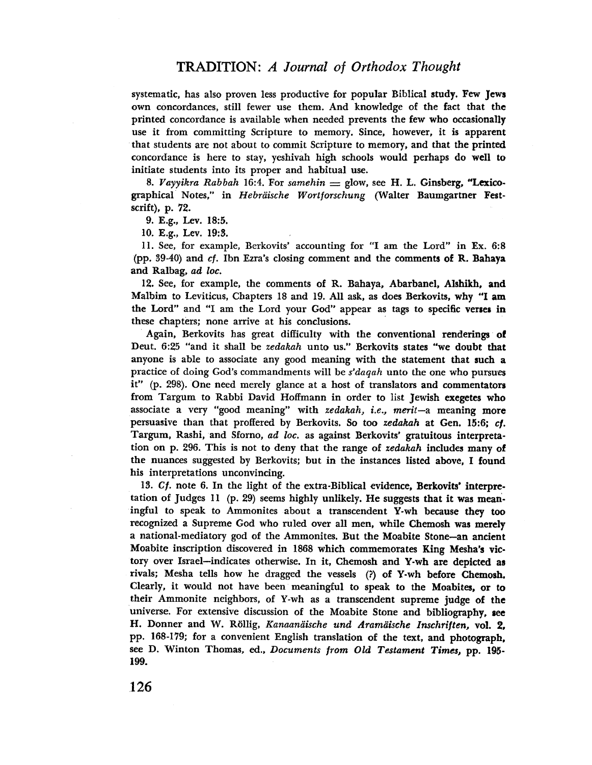systematic, has also proven less productive for popular Biblical study. Few Jews own concordances, still fewer use them. And knowledge of the fact that the printed concordance is available when needed prevents the few who occasionalIy use it from committing Scripture to memory. Since, however, it is apparent that students are not about to commit Scripture to memory, and that the printed concordance is here to stay, yeshivah high schools would perhaps do well to initiate students into its proper and habitual use.

8. Vayyikra Rabbah 16:4. For samehin  $=$  glow, see H. L. Ginsberg, "Lexicographical Notes," in Hebräische Wortforschung (Walter Baumgartner Festscrift). p. 72.

9. E.g.. Lev. 18:5.

10. E.g., Lev. 19:3.

i 1. See, for example, Berkovits' accounting for "I am the Lord" in Ex. 6:8 (pp. 39-40) and cf. Ibn Ezra's closing comment and the comments of R. Bahaya and Ralbag, ad loc.

12. See, for example, the comments of R. Bahaya. Abarbanel, Alshikh. and Malbim to Leviticus, Chapters 18 and 19. All ask, as does Berkovits, why "I am the Lord" and "I am the Lord your God" appear as tags to specific verses in these chapters; none arrive at his conclusions.

Again, Berkovits has great difIculty with the conventional renderings of Deut. 6:25 "and it shall be *zedakah* unto us." Berkovits states "we doubt that anyone is able to associate any good meaning with the statement that such a practice of doing God's commandments will be s'daqah unto the one who pursues it" (p. 298). One need merely glance at a host of translators and commentators from Targum to Rabbi David Hoffmann in order to list Jewish exegetes who associate a very "good meaning" with *zedakah*, *i.e.*, merit-a meaning more persuasive than that proffered by Berkovits. So too zedakah at Gen. 15:6; cf. Targum, Rashi, and Sforno, ad loc. as against Berkovits' gratuitous interpretation on p. 296. This is not to deny that the range of zedakah includes many of the nuances suggested by Berkovits; but in the instances listed above, I found his interpretations unconvincing.

13. Cf. note 6. In the light of the extra-Biblical evidence, Berkovits' interpretation of Judges 11 (p. 29) seems highly unlikely. He suggests that it was meaningful to speak to Ammonites about a transcendent Y-wh because they too recognized a Supreme God who ruled OVer all men, while Chemosh was merely a national-mediatory god of thc Ammonites. But the Moabite Stone-an ancient Moabite inscription discovered in 1868 which commemorates King Mesha's victory over Israel-indicates otherwise. In it, Chemosh and Y-wh are depicted as rivals; Mesha tells how he dragged the vessels (?) of Y-wh before Chemosh. Clearly, it would not have been meaningful to speak to the Moabites, or to their Ammonite neighbors, of Y-wh as a transcendent supreme judge of the universe. For extensive discussion of the Moabite Stone and bibliography, see H. Donner and W. Röllg. Kanaanaische und Aramaische Inschriften, vol. 2. pp. 168-179; for a convenient English translation of the text, and photograph. see D. Winton Thomas, ed., Documents from Old Testament Times, pp. 195- 199.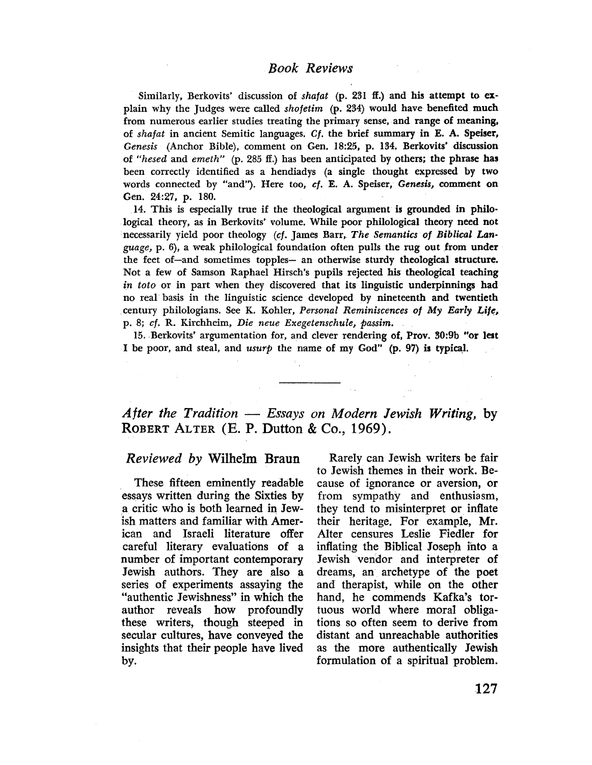### Book Reviews

Similarly, Berkovits' discussion of shafat (p. 231 ff.) and his attempt to explain why the Judges were called shofetim (p. 234) would have benefited much from numerous earlier studies treating the primary sense, and range of meaning, of shafat in ancient Semitic languages. Cf. the brief summary in E. A. Speiser, Genesis (Anchor Bible), comment on Gen. 18:25, p. 134. Berkovits' discussion of "hesed and emeth" (p. 285 ff.) has been anticipated by others; the phrase has been correctly identified as a hendiadys (a single thought expressed by two words connected by "and"). Here too, cf. E. A. Speiser, Genesis, comment on Gen. 24:27, p. 180.

14. This is especially true if the theological argument is grounded in philological theory, as in Berkovits' volume. While poor philological theory need not necessarily yield poor theology (cf. James Barr, The Semantics of Biblical Language, p. 6), a weak philological foundation often pulls the rug out from under the feet of-and sometimes topples- an otherwise sturdy theological structure. Not a few of Samson Raphael Hirsch's pupils rejected his theological teaching in toto or in part when they discovered that its linguistic underpinnings had no real basis in the linguistic science developed by nineteenth and twentieth century philologians. See K. Kohler, Personal Reminiscences of My Early Life, p. 8; cf. R. Kirchhcim, Die neue Exegetenschule, passim.

15. Berkovits' argumentation for, and clever rendering of, Prov. 30:9b "or lest I be poor, and steal, and usurp the name of my God" (p. 97) is typicaL.

After the Tradition  $-$  Essays on Modern Jewish Writing, by ROBERT ALTER (E. P. Dutton & Co., 1969).

Reviewed by Wilhelm Braun

 $\sim 1$ 

These fifteen eminently readable essays written during the Sixties by a critic who is both learned in Jewish matters and familar with American and Israeli literature offer careful literary evaluations of a number of important contemporary Jewish authors. They are also a series of experiments assaying the "authentic Jewishness" in which the author reveals how profoundly these writers, though steeped in secular cultures, have conveyed the insights that their people have lived by.

Rarely can Jewish writers be fair to Jewish themes in their work. Because of ignorance or aversion, or from sympathy and enthusiasm, they tend to misinterpret or inflate their heritage. For example, Mr. Alter censures Leslie Fiedler for inflating the Biblical Joseph into a Jewish vendor and interpreter of dreams, an archetype of the poet and therapist, while on the other hand, he commends Kafka's tortuous world where moral obligations so often seem to derive from distant and unreachable authorities as the more authentically Jewish formulation of a spiritual problem.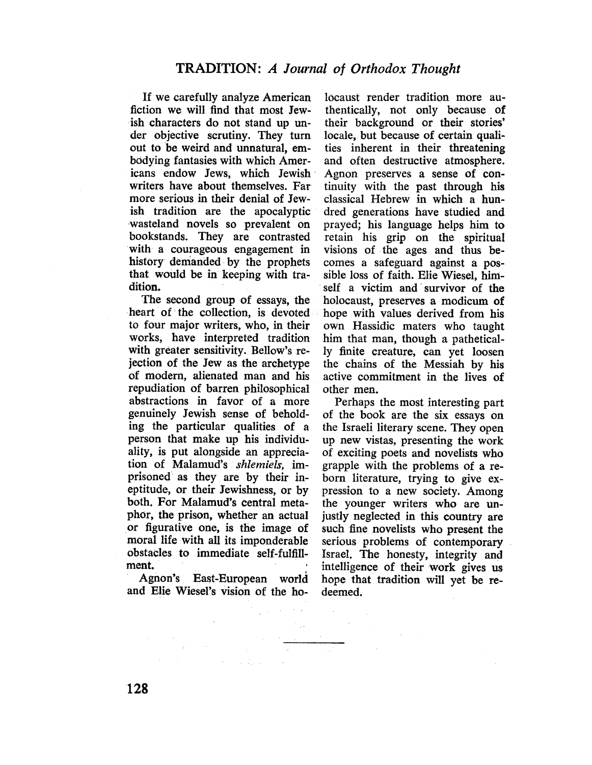If we carefully analyze American fiction we wil find that most Jewish characters do not stand up under objective scrutiny. They turn out to be weird and unnatural, embodying fantasies with which Americans endow Jews, which Jewish writers have about themselves. Far more serious in their denial of Jewish tradition are the apocalyptic wasteland novels so prevalent on bookstands. They are contrasted with a courageous engagement in history demanded by the prophets that would be in keeping with tradition.

The second group of essays, the heart of the collection, is devoted to four major writers, who, in their works, have interpreted tradition with greater sensitivity. Bellow's rejection of the Jew as the archetype of modern, alienated man and his repudiation of barren phílosophical abstractions in favor of a more genuinely Jewish sense of beholding the particular qualities of a person that make up his individuality, is put alongside an appreciation of Malamud's shlemiels, imprisoned as they are by their ineptitude, or their Jewishness, or by both. For Malamud's central metaphor, the prison, whether an actual or figurative one, is the image of<br>moral life with all its imponderable<br>obstacles to immediate self-fulfill-<br>ment.<br>Agnon's Fast-Furonean world

Agnon's East-European world and Elie Wiesel's vision of the ho-

 $\frac{1}{2} \sum_{i=1}^n \frac{1}{2} \sum_{j=1}^n \frac{1}{2} \sum_{j=1}^n \frac{1}{2} \sum_{j=1}^n \frac{1}{2} \sum_{j=1}^n \frac{1}{2} \sum_{j=1}^n \frac{1}{2} \sum_{j=1}^n \frac{1}{2} \sum_{j=1}^n \frac{1}{2} \sum_{j=1}^n \frac{1}{2} \sum_{j=1}^n \frac{1}{2} \sum_{j=1}^n \frac{1}{2} \sum_{j=1}^n \frac{1}{2} \sum_{j=1}^n \frac{1}{2} \sum_{j=$ 

ale di Pitania<br>1940 - Kabupaten Band

 $\sim 10^6$ 

locaust render tradition more authentically, not only because of their background or their stories' locale, but because of certain qualities inherent in their threatening and often destructive atmosphere. Agnon preserves a sense of continuity with the past through his classical Hebrew in which a hundred generations have studied and prayed; his language helps him to retain his grip on the spiritual visions of the ages and thus becomes a safeguard against a possible loss of faith. Elie Wiesel, himself a victim and survivor of the holocaust, preserves a modicum of hope with values derived from his own Hassidic maters who taught him that man, though a pathetically finite creature, can yet loosen the chains of the Messiah by his active commitment in the lives of other men.

Perhaps the most interesting part of the book are the six essays on the Israeli literary scene. They open up new vistas, presenting the work of exciting poets and novelists who grapple with the problems of a reborn literature, trying to give expression to a new society. Among the younger writers who are unjustly neglected in this country are such fine novelists who present the serious problems of contemporary IsraeL. The honesty, integrity and intellgence of their work gives us hope that tradition will yet be redeemed.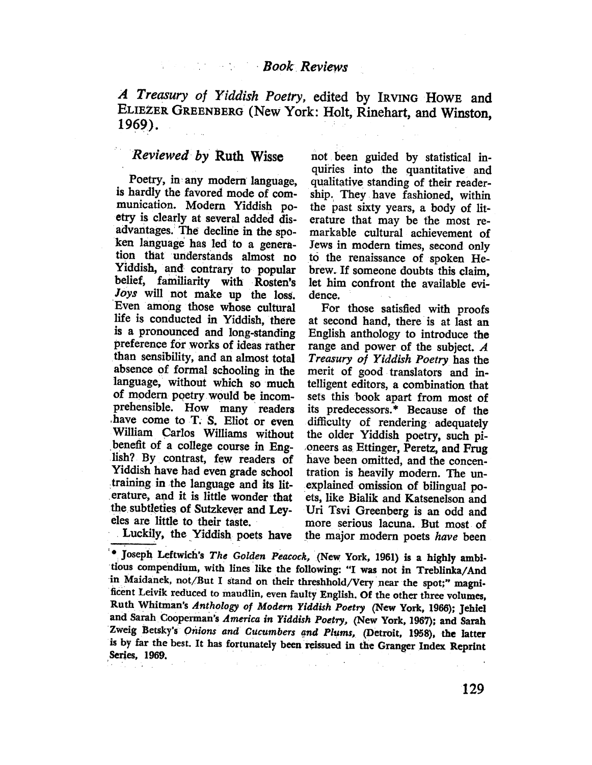# **Book Reviews**

A Treasury of Yiddish Poetry, edited by IRVING HOWE and ELIEZER GREENBERG (New York: Holt, Rinehart, and Winston, 1969).

## Reviewed by Ruth Wisse not been guided by statistical in-

is hardly the favored mode of com- ship. They have fashioned, within munication. Modern Yiddish po- the past sixty years, a body of litetry is clearly at several added dis- erature that may be the most readvaitages. The decline in the spo- markable cultural achievement of ken language has led to a genera- Jews in modem times, second only tion that understands almost no tò the renaissance of spoken He-Yiddish, and contrary to popular brew. If someone doubts this claim, belief, familiarity with Rosten's let him confront the available evi-Joys will not make up the loss. dence. 'Even among those whose cultural For those satisfied with proofs life is conducted in Yiddish, there at second hand, there is at last an is a pronounced and long-standing English anthology to introduce the preference for works of ideas rather range and power of the subject. A than sensibilty, and an almost total Treasury of Yiddish Poetry has the absence of formal schooling in the merit of good translators and in. language, without which so much tellgent editors, a combination that of modern poetry would be incom- sets this book apart from most of prehensible. How many readers its predecessors. \* Because of the have come to T. S. Eliot or even difficulty of rendering adequately Wiliam Carlos Wiliams without the older Yiddish poetry, such pi benefit of a college course in Eng- oneers as Ettinger, Peretz, and Frug lish? By contrast, few readers of have been omitted, and the concen-Yiddish have had even grade school tration is heavily modern. The untraining in the language and its lit- explained omission of bilngual poerature, and it is little wonder that ets, like Bialik and Katsenelson and the subtleties of Sutzkever and Ley- Uri Tsvi Greenberg is an odd and

quiries into the quantitative and Poetry, in any modern language, qualitative standing of their reader-

eles are little to their taste. more serious lacuna. But most of Luckily, the Yiddish poets have the major modern poets have been

<sup>&</sup>lt;sup>'.</sup> Joseph Leftwich's The Golden Peacock, (New York, 1961) is a highly ambitious compendium, with lines like the following: "I was not in Treblinka/And in Maidanek, not/But I stand on their threshhold/Very near the spot;" magnificent Leivik reduced to maudlin, even faulty English. Of the other three volumes, Ruth Whitman's Anthology of Modern Yiddish Poetry (New York, 1966); Jehiel and Sarah Cooperman's America in Yiddish Poetry, (New York, 1967); and Sarah Zweig Betsky's Onions and Cucumbers and Plums, (Detroit, 1958), the latter is by far the hest. It has fortunately been reissued in the Granger Index Reprint Series, 1969.